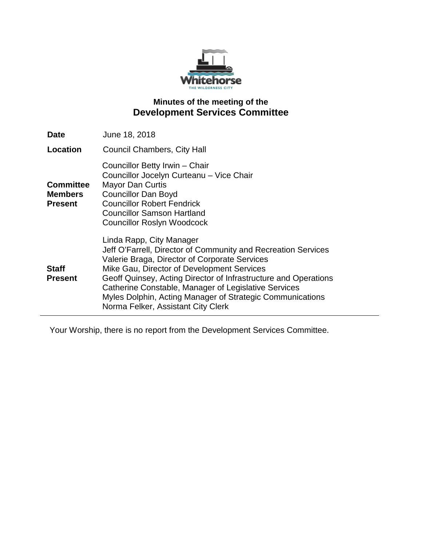

# **Minutes of the meeting of the Development Services Committee**

| <b>Date</b>                                          | June 18, 2018                                                                                                                                                                                                                                                                                                                                                                                                          |
|------------------------------------------------------|------------------------------------------------------------------------------------------------------------------------------------------------------------------------------------------------------------------------------------------------------------------------------------------------------------------------------------------------------------------------------------------------------------------------|
| Location                                             | <b>Council Chambers, City Hall</b>                                                                                                                                                                                                                                                                                                                                                                                     |
| <b>Committee</b><br><b>Members</b><br><b>Present</b> | Councillor Betty Irwin - Chair<br>Councillor Jocelyn Curteanu - Vice Chair<br><b>Mayor Dan Curtis</b><br><b>Councillor Dan Boyd</b><br><b>Councillor Robert Fendrick</b><br><b>Councillor Samson Hartland</b><br><b>Councillor Roslyn Woodcock</b>                                                                                                                                                                     |
| <b>Staff</b><br><b>Present</b>                       | Linda Rapp, City Manager<br>Jeff O'Farrell, Director of Community and Recreation Services<br>Valerie Braga, Director of Corporate Services<br>Mike Gau, Director of Development Services<br>Geoff Quinsey, Acting Director of Infrastructure and Operations<br>Catherine Constable, Manager of Legislative Services<br>Myles Dolphin, Acting Manager of Strategic Communications<br>Norma Felker, Assistant City Clerk |

Your Worship, there is no report from the Development Services Committee.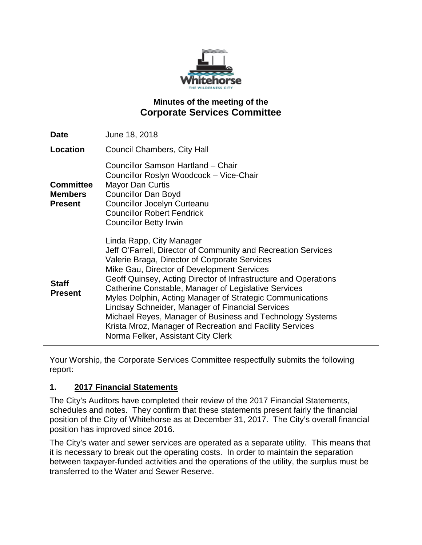

# **Minutes of the meeting of the Corporate Services Committee**

| <b>Date</b>                                          | June 18, 2018                                                                                                                                                                                                                                                                                                                                                                                                                                                                                                                                                                                       |
|------------------------------------------------------|-----------------------------------------------------------------------------------------------------------------------------------------------------------------------------------------------------------------------------------------------------------------------------------------------------------------------------------------------------------------------------------------------------------------------------------------------------------------------------------------------------------------------------------------------------------------------------------------------------|
| <b>Location</b>                                      | Council Chambers, City Hall                                                                                                                                                                                                                                                                                                                                                                                                                                                                                                                                                                         |
| <b>Committee</b><br><b>Members</b><br><b>Present</b> | Councillor Samson Hartland - Chair<br>Councillor Roslyn Woodcock - Vice-Chair<br><b>Mayor Dan Curtis</b><br><b>Councillor Dan Boyd</b><br><b>Councillor Jocelyn Curteanu</b><br><b>Councillor Robert Fendrick</b><br><b>Councillor Betty Irwin</b>                                                                                                                                                                                                                                                                                                                                                  |
| <b>Staff</b><br><b>Present</b>                       | Linda Rapp, City Manager<br>Jeff O'Farrell, Director of Community and Recreation Services<br>Valerie Braga, Director of Corporate Services<br>Mike Gau, Director of Development Services<br>Geoff Quinsey, Acting Director of Infrastructure and Operations<br>Catherine Constable, Manager of Legislative Services<br>Myles Dolphin, Acting Manager of Strategic Communications<br>Lindsay Schneider, Manager of Financial Services<br>Michael Reyes, Manager of Business and Technology Systems<br>Krista Mroz, Manager of Recreation and Facility Services<br>Norma Felker, Assistant City Clerk |

Your Worship, the Corporate Services Committee respectfully submits the following report:

### **1. 2017 Financial Statements**

The City's Auditors have completed their review of the 2017 Financial Statements, schedules and notes. They confirm that these statements present fairly the financial position of the City of Whitehorse as at December 31, 2017. The City's overall financial position has improved since 2016.

The City's water and sewer services are operated as a separate utility. This means that it is necessary to break out the operating costs. In order to maintain the separation between taxpayer-funded activities and the operations of the utility, the surplus must be transferred to the Water and Sewer Reserve.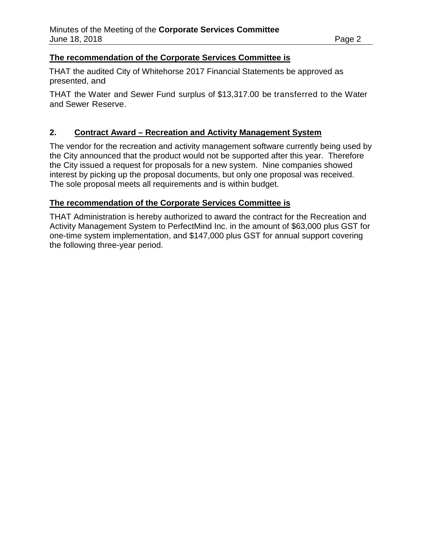#### **The recommendation of the Corporate Services Committee is**

THAT the audited City of Whitehorse 2017 Financial Statements be approved as presented, and

THAT the Water and Sewer Fund surplus of \$13,317.00 be transferred to the Water and Sewer Reserve.

#### **2. Contract Award – Recreation and Activity Management System**

The vendor for the recreation and activity management software currently being used by the City announced that the product would not be supported after this year. Therefore the City issued a request for proposals for a new system. Nine companies showed interest by picking up the proposal documents, but only one proposal was received. The sole proposal meets all requirements and is within budget.

#### **The recommendation of the Corporate Services Committee is**

THAT Administration is hereby authorized to award the contract for the Recreation and Activity Management System to PerfectMind Inc. in the amount of \$63,000 plus GST for one-time system implementation, and \$147,000 plus GST for annual support covering the following three-year period.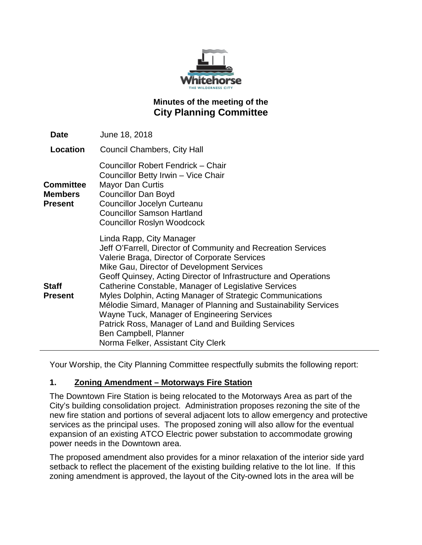

# **Minutes of the meeting of the City Planning Committee**

| Date                                                 | June 18, 2018                                                                                                                                                                                                                                                                                                                                                                                                                                                                                                                                                                                                            |
|------------------------------------------------------|--------------------------------------------------------------------------------------------------------------------------------------------------------------------------------------------------------------------------------------------------------------------------------------------------------------------------------------------------------------------------------------------------------------------------------------------------------------------------------------------------------------------------------------------------------------------------------------------------------------------------|
| Location                                             | <b>Council Chambers, City Hall</b>                                                                                                                                                                                                                                                                                                                                                                                                                                                                                                                                                                                       |
| <b>Committee</b><br><b>Members</b><br><b>Present</b> | Councillor Robert Fendrick - Chair<br>Councillor Betty Irwin - Vice Chair<br><b>Mayor Dan Curtis</b><br><b>Councillor Dan Boyd</b><br>Councillor Jocelyn Curteanu<br><b>Councillor Samson Hartland</b><br><b>Councillor Roslyn Woodcock</b>                                                                                                                                                                                                                                                                                                                                                                              |
| <b>Staff</b><br><b>Present</b>                       | Linda Rapp, City Manager<br>Jeff O'Farrell, Director of Community and Recreation Services<br>Valerie Braga, Director of Corporate Services<br>Mike Gau, Director of Development Services<br>Geoff Quinsey, Acting Director of Infrastructure and Operations<br>Catherine Constable, Manager of Legislative Services<br>Myles Dolphin, Acting Manager of Strategic Communications<br>Mélodie Simard, Manager of Planning and Sustainability Services<br>Wayne Tuck, Manager of Engineering Services<br>Patrick Ross, Manager of Land and Building Services<br>Ben Campbell, Planner<br>Norma Felker, Assistant City Clerk |

Your Worship, the City Planning Committee respectfully submits the following report:

### **1. Zoning Amendment – Motorways Fire Station**

The Downtown Fire Station is being relocated to the Motorways Area as part of the City's building consolidation project. Administration proposes rezoning the site of the new fire station and portions of several adjacent lots to allow emergency and protective services as the principal uses. The proposed zoning will also allow for the eventual expansion of an existing ATCO Electric power substation to accommodate growing power needs in the Downtown area.

The proposed amendment also provides for a minor relaxation of the interior side yard setback to reflect the placement of the existing building relative to the lot line. If this zoning amendment is approved, the layout of the City-owned lots in the area will be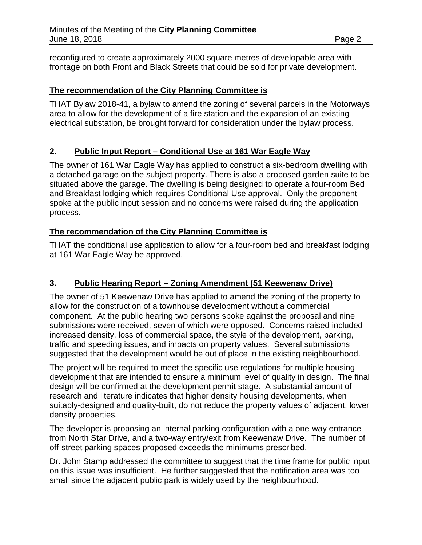reconfigured to create approximately 2000 square metres of developable area with frontage on both Front and Black Streets that could be sold for private development.

### **The recommendation of the City Planning Committee is**

THAT Bylaw 2018-41, a bylaw to amend the zoning of several parcels in the Motorways area to allow for the development of a fire station and the expansion of an existing electrical substation, be brought forward for consideration under the bylaw process.

### **2. Public Input Report – Conditional Use at 161 War Eagle Way**

The owner of 161 War Eagle Way has applied to construct a six-bedroom dwelling with a detached garage on the subject property. There is also a proposed garden suite to be situated above the garage. The dwelling is being designed to operate a four-room Bed and Breakfast lodging which requires Conditional Use approval. Only the proponent spoke at the public input session and no concerns were raised during the application process.

### **The recommendation of the City Planning Committee is**

THAT the conditional use application to allow for a four-room bed and breakfast lodging at 161 War Eagle Way be approved.

# **3. Public Hearing Report – Zoning Amendment (51 Keewenaw Drive)**

The owner of 51 Keewenaw Drive has applied to amend the zoning of the property to allow for the construction of a townhouse development without a commercial component. At the public hearing two persons spoke against the proposal and nine submissions were received, seven of which were opposed. Concerns raised included increased density, loss of commercial space, the style of the development, parking, traffic and speeding issues, and impacts on property values. Several submissions suggested that the development would be out of place in the existing neighbourhood.

The project will be required to meet the specific use regulations for multiple housing development that are intended to ensure a minimum level of quality in design. The final design will be confirmed at the development permit stage. A substantial amount of research and literature indicates that higher density housing developments, when suitably-designed and quality-built, do not reduce the property values of adjacent, lower density properties.

The developer is proposing an internal parking configuration with a one-way entrance from North Star Drive, and a two-way entry/exit from Keewenaw Drive. The number of off-street parking spaces proposed exceeds the minimums prescribed.

Dr. John Stamp addressed the committee to suggest that the time frame for public input on this issue was insufficient. He further suggested that the notification area was too small since the adjacent public park is widely used by the neighbourhood.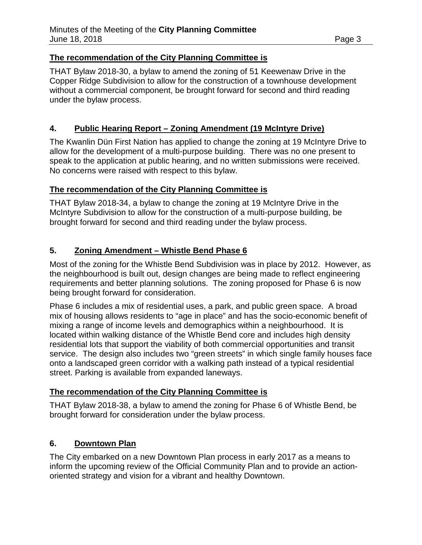#### **The recommendation of the City Planning Committee is**

THAT Bylaw 2018-30, a bylaw to amend the zoning of 51 Keewenaw Drive in the Copper Ridge Subdivision to allow for the construction of a townhouse development without a commercial component, be brought forward for second and third reading under the bylaw process.

### **4. Public Hearing Report – Zoning Amendment (19 McIntyre Drive)**

The Kwanlin Dün First Nation has applied to change the zoning at 19 McIntyre Drive to allow for the development of a multi-purpose building. There was no one present to speak to the application at public hearing, and no written submissions were received. No concerns were raised with respect to this bylaw.

#### **The recommendation of the City Planning Committee is**

THAT Bylaw 2018-34, a bylaw to change the zoning at 19 McIntyre Drive in the McIntyre Subdivision to allow for the construction of a multi-purpose building, be brought forward for second and third reading under the bylaw process.

### **5. Zoning Amendment – Whistle Bend Phase 6**

Most of the zoning for the Whistle Bend Subdivision was in place by 2012. However, as the neighbourhood is built out, design changes are being made to reflect engineering requirements and better planning solutions. The zoning proposed for Phase 6 is now being brought forward for consideration.

Phase 6 includes a mix of residential uses, a park, and public green space. A broad mix of housing allows residents to "age in place" and has the socio-economic benefit of mixing a range of income levels and demographics within a neighbourhood. It is located within walking distance of the Whistle Bend core and includes high density residential lots that support the viability of both commercial opportunities and transit service. The design also includes two "green streets" in which single family houses face onto a landscaped green corridor with a walking path instead of a typical residential street. Parking is available from expanded laneways.

### **The recommendation of the City Planning Committee is**

THAT Bylaw 2018-38, a bylaw to amend the zoning for Phase 6 of Whistle Bend, be brought forward for consideration under the bylaw process.

### **6. Downtown Plan**

The City embarked on a new Downtown Plan process in early 2017 as a means to inform the upcoming review of the Official Community Plan and to provide an actionoriented strategy and vision for a vibrant and healthy Downtown.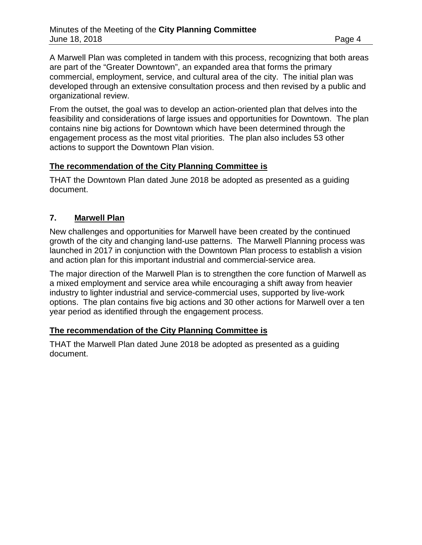A Marwell Plan was completed in tandem with this process, recognizing that both areas are part of the "Greater Downtown", an expanded area that forms the primary commercial, employment, service, and cultural area of the city. The initial plan was developed through an extensive consultation process and then revised by a public and organizational review.

From the outset, the goal was to develop an action-oriented plan that delves into the feasibility and considerations of large issues and opportunities for Downtown. The plan contains nine big actions for Downtown which have been determined through the engagement process as the most vital priorities. The plan also includes 53 other actions to support the Downtown Plan vision.

### **The recommendation of the City Planning Committee is**

THAT the Downtown Plan dated June 2018 be adopted as presented as a guiding document.

# **7. Marwell Plan**

New challenges and opportunities for Marwell have been created by the continued growth of the city and changing land-use patterns. The Marwell Planning process was launched in 2017 in conjunction with the Downtown Plan process to establish a vision and action plan for this important industrial and commercial-service area.

The major direction of the Marwell Plan is to strengthen the core function of Marwell as a mixed employment and service area while encouraging a shift away from heavier industry to lighter industrial and service-commercial uses, supported by live-work options. The plan contains five big actions and 30 other actions for Marwell over a ten year period as identified through the engagement process.

# **The recommendation of the City Planning Committee is**

THAT the Marwell Plan dated June 2018 be adopted as presented as a guiding document.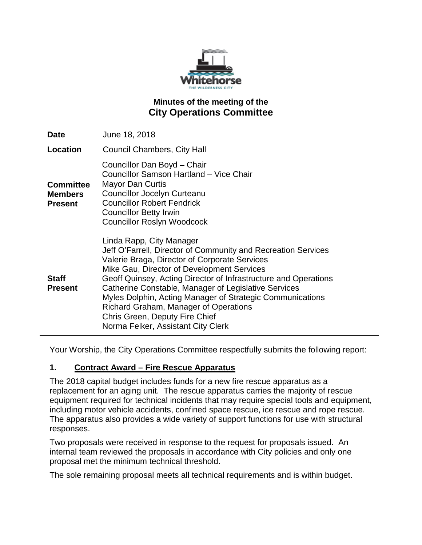

# **Minutes of the meeting of the City Operations Committee**

| Date                                                 | June 18, 2018                                                                                                                                                                                                                                                                                                                                                                                                                                                                                     |
|------------------------------------------------------|---------------------------------------------------------------------------------------------------------------------------------------------------------------------------------------------------------------------------------------------------------------------------------------------------------------------------------------------------------------------------------------------------------------------------------------------------------------------------------------------------|
| Location                                             | <b>Council Chambers, City Hall</b>                                                                                                                                                                                                                                                                                                                                                                                                                                                                |
| <b>Committee</b><br><b>Members</b><br><b>Present</b> | Councillor Dan Boyd - Chair<br>Councillor Samson Hartland - Vice Chair<br>Mayor Dan Curtis<br><b>Councillor Jocelyn Curteanu</b><br><b>Councillor Robert Fendrick</b><br><b>Councillor Betty Irwin</b><br><b>Councillor Roslyn Woodcock</b>                                                                                                                                                                                                                                                       |
| <b>Staff</b><br><b>Present</b>                       | Linda Rapp, City Manager<br>Jeff O'Farrell, Director of Community and Recreation Services<br>Valerie Braga, Director of Corporate Services<br>Mike Gau, Director of Development Services<br>Geoff Quinsey, Acting Director of Infrastructure and Operations<br>Catherine Constable, Manager of Legislative Services<br>Myles Dolphin, Acting Manager of Strategic Communications<br>Richard Graham, Manager of Operations<br>Chris Green, Deputy Fire Chief<br>Norma Felker, Assistant City Clerk |

Your Worship, the City Operations Committee respectfully submits the following report:

### **1. Contract Award – Fire Rescue Apparatus**

The 2018 capital budget includes funds for a new fire rescue apparatus as a replacement for an aging unit. The rescue apparatus carries the majority of rescue equipment required for technical incidents that may require special tools and equipment, including motor vehicle accidents, confined space rescue, ice rescue and rope rescue. The apparatus also provides a wide variety of support functions for use with structural responses.

Two proposals were received in response to the request for proposals issued. An internal team reviewed the proposals in accordance with City policies and only one proposal met the minimum technical threshold.

The sole remaining proposal meets all technical requirements and is within budget.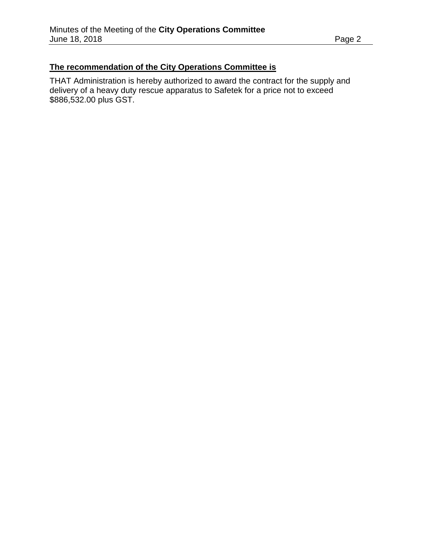## **The recommendation of the City Operations Committee is**

THAT Administration is hereby authorized to award the contract for the supply and delivery of a heavy duty rescue apparatus to Safetek for a price not to exceed \$886,532.00 plus GST.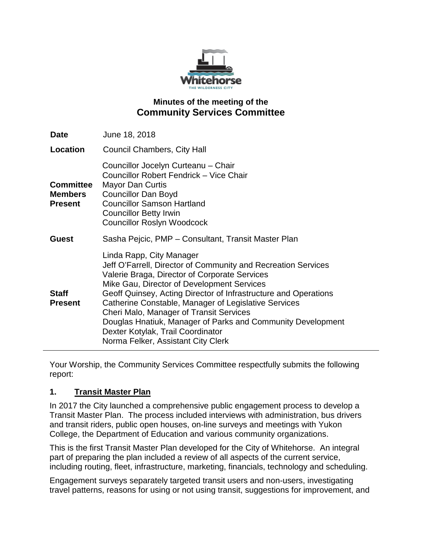

### **Minutes of the meeting of the Community Services Committee**

| <b>Date</b>                                          | June 18, 2018                                                                                                                                                                                                                                                                                                                                                                                                                                                                                                   |
|------------------------------------------------------|-----------------------------------------------------------------------------------------------------------------------------------------------------------------------------------------------------------------------------------------------------------------------------------------------------------------------------------------------------------------------------------------------------------------------------------------------------------------------------------------------------------------|
| Location                                             | <b>Council Chambers, City Hall</b>                                                                                                                                                                                                                                                                                                                                                                                                                                                                              |
| <b>Committee</b><br><b>Members</b><br><b>Present</b> | Councillor Jocelyn Curteanu - Chair<br>Councillor Robert Fendrick - Vice Chair<br><b>Mayor Dan Curtis</b><br><b>Councillor Dan Boyd</b><br><b>Councillor Samson Hartland</b><br><b>Councillor Betty Irwin</b><br><b>Councillor Roslyn Woodcock</b>                                                                                                                                                                                                                                                              |
| <b>Guest</b>                                         | Sasha Pejcic, PMP – Consultant, Transit Master Plan                                                                                                                                                                                                                                                                                                                                                                                                                                                             |
| <b>Staff</b><br><b>Present</b>                       | Linda Rapp, City Manager<br>Jeff O'Farrell, Director of Community and Recreation Services<br>Valerie Braga, Director of Corporate Services<br>Mike Gau, Director of Development Services<br>Geoff Quinsey, Acting Director of Infrastructure and Operations<br>Catherine Constable, Manager of Legislative Services<br><b>Cheri Malo, Manager of Transit Services</b><br>Douglas Hnatiuk, Manager of Parks and Community Development<br>Dexter Kotylak, Trail Coordinator<br>Norma Felker, Assistant City Clerk |

Your Worship, the Community Services Committee respectfully submits the following report:

### **1. Transit Master Plan**

In 2017 the City launched a comprehensive public engagement process to develop a Transit Master Plan. The process included interviews with administration, bus drivers and transit riders, public open houses, on-line surveys and meetings with Yukon College, the Department of Education and various community organizations.

This is the first Transit Master Plan developed for the City of Whitehorse. An integral part of preparing the plan included a review of all aspects of the current service, including routing, fleet, infrastructure, marketing, financials, technology and scheduling.

Engagement surveys separately targeted transit users and non-users, investigating travel patterns, reasons for using or not using transit, suggestions for improvement, and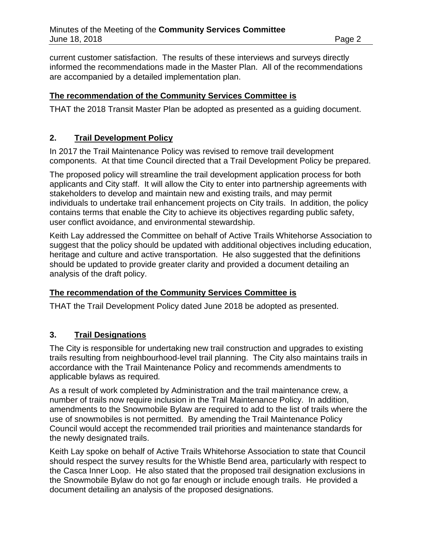current customer satisfaction. The results of these interviews and surveys directly informed the recommendations made in the Master Plan. All of the recommendations are accompanied by a detailed implementation plan.

### **The recommendation of the Community Services Committee is**

THAT the 2018 Transit Master Plan be adopted as presented as a guiding document.

### **2. Trail Development Policy**

In 2017 the Trail Maintenance Policy was revised to remove trail development components. At that time Council directed that a Trail Development Policy be prepared.

The proposed policy will streamline the trail development application process for both applicants and City staff. It will allow the City to enter into partnership agreements with stakeholders to develop and maintain new and existing trails, and may permit individuals to undertake trail enhancement projects on City trails. In addition, the policy contains terms that enable the City to achieve its objectives regarding public safety, user conflict avoidance, and environmental stewardship.

Keith Lay addressed the Committee on behalf of Active Trails Whitehorse Association to suggest that the policy should be updated with additional objectives including education, heritage and culture and active transportation. He also suggested that the definitions should be updated to provide greater clarity and provided a document detailing an analysis of the draft policy.

### **The recommendation of the Community Services Committee is**

THAT the Trail Development Policy dated June 2018 be adopted as presented.

### **3. Trail Designations**

The City is responsible for undertaking new trail construction and upgrades to existing trails resulting from neighbourhood-level trail planning. The City also maintains trails in accordance with the Trail Maintenance Policy and recommends amendments to applicable bylaws as required*.*

As a result of work completed by Administration and the trail maintenance crew, a number of trails now require inclusion in the Trail Maintenance Policy. In addition, amendments to the Snowmobile Bylaw are required to add to the list of trails where the use of snowmobiles is not permitted. By amending the Trail Maintenance Policy Council would accept the recommended trail priorities and maintenance standards for the newly designated trails.

Keith Lay spoke on behalf of Active Trails Whitehorse Association to state that Council should respect the survey results for the Whistle Bend area, particularly with respect to the Casca Inner Loop. He also stated that the proposed trail designation exclusions in the Snowmobile Bylaw do not go far enough or include enough trails. He provided a document detailing an analysis of the proposed designations.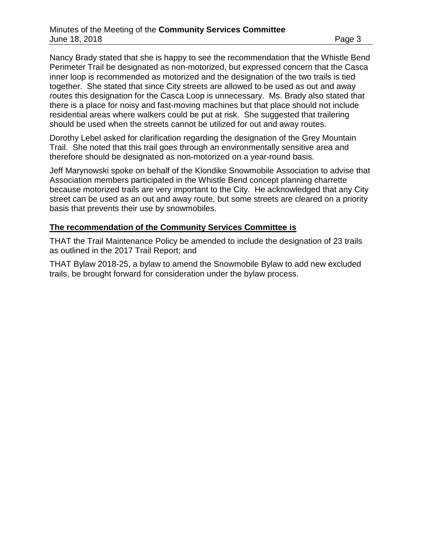Nancy Brady stated that she is happy to see the recommendation that the Whistle Bend Perimeter Trail be designated as non-motorized, but expressed concern that the Casca inner loop is recommended as motorized and the designation of the two trails is tied together. She stated that since City streets are allowed to be used as out and away routes this designation for the Casca Loop is unnecessary. Ms. Brady also stated that there is a place for noisy and fast-moving machines but that place should not include residential areas where walkers could be put at risk. She suggested that trailering should be used when the streets cannot be utilized for out and away routes.

Dorothy Lebel asked for clarification regarding the designation of the Grey Mountain Trail. She noted that this trail goes through an environmentally sensitive area and therefore should be designated as non-motorized on a year-round basis.

Jeff Marynowski spoke on behalf of the Klondike Snowmobile Association to advise that Association members participated in the Whistle Bend concept planning charrette because motorized trails are very important to the City. He acknowledged that any City street can be used as an out and away route, but some streets are cleared on a priority basis that prevents their use by snowmobiles.

#### **The recommendation of the Community Services Committee is**

THAT the Trail Maintenance Policy be amended to include the designation of 23 trails as outlined in the 2017 Trail Report; and

THAT Bylaw 2018-25, a bylaw to amend the Snowmobile Bylaw to add new excluded trails, be brought forward for consideration under the bylaw process.